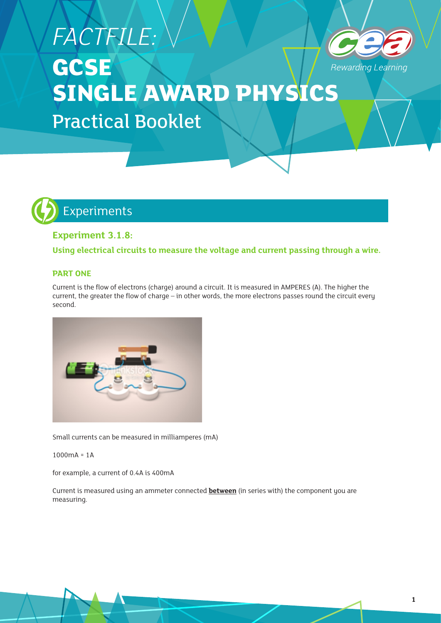# *FACTFILE:* **GCSE SINGLE AWARD PHYSICS** Practical Booklet



# Experiments

# **Experiment 3.1.8:**

**Using electrical circuits to measure the voltage and current passing through a wire.**

# **PART ONE**

Current is the flow of electrons (charge) around a circuit. It is measured in AMPERES (A). The higher the current, the greater the flow of charge – in other words, the more electrons passes round the circuit every second.



Small currents can be measured in milliamperes (mA)

1000mA = 1A

for example, a current of 0.4A is 400mA

Current is measured using an ammeter connected **between** (in series with) the component you are measuring.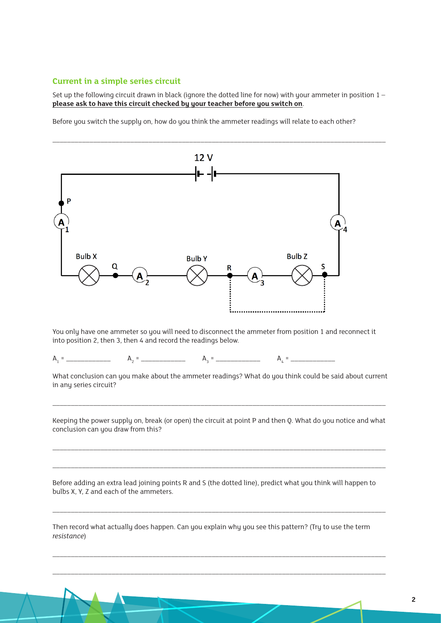#### **Current in a simple series circuit**

Set up the following circuit drawn in black (ignore the dotted line for now) with your ammeter in position 1 – **please ask to have this circuit checked by your teacher before you switch on**.

Before you switch the supply on, how do you think the ammeter readings will relate to each other?



You only have one ammeter so you will need to disconnect the ammeter from position 1 and reconnect it into position 2, then 3, then 4 and record the readings below.

A1 = \_\_\_\_\_\_\_\_\_\_\_\_ A2 = \_\_\_\_\_\_\_\_\_\_\_\_ A3 = \_\_\_\_\_\_\_\_\_\_\_\_ A4 = \_\_\_\_\_\_\_\_\_\_\_\_

What conclusion can you make about the ammeter readings? What do you think could be said about current in any series circuit?

Keeping the power supply on, break (or open) the circuit at point P and then Q. What do you notice and what conclusion can you draw from this?

\_\_\_\_\_\_\_\_\_\_\_\_\_\_\_\_\_\_\_\_\_\_\_\_\_\_\_\_\_\_\_\_\_\_\_\_\_\_\_\_\_\_\_\_\_\_\_\_\_\_\_\_\_\_\_\_\_\_\_\_\_\_\_\_\_\_\_\_\_\_\_\_\_\_\_\_\_\_\_\_\_\_\_\_\_\_\_\_\_\_

\_\_\_\_\_\_\_\_\_\_\_\_\_\_\_\_\_\_\_\_\_\_\_\_\_\_\_\_\_\_\_\_\_\_\_\_\_\_\_\_\_\_\_\_\_\_\_\_\_\_\_\_\_\_\_\_\_\_\_\_\_\_\_\_\_\_\_\_\_\_\_\_\_\_\_\_\_\_\_\_\_\_\_\_\_\_\_\_\_\_

\_\_\_\_\_\_\_\_\_\_\_\_\_\_\_\_\_\_\_\_\_\_\_\_\_\_\_\_\_\_\_\_\_\_\_\_\_\_\_\_\_\_\_\_\_\_\_\_\_\_\_\_\_\_\_\_\_\_\_\_\_\_\_\_\_\_\_\_\_\_\_\_\_\_\_\_\_\_\_\_\_\_\_\_\_\_\_\_\_\_

\_\_\_\_\_\_\_\_\_\_\_\_\_\_\_\_\_\_\_\_\_\_\_\_\_\_\_\_\_\_\_\_\_\_\_\_\_\_\_\_\_\_\_\_\_\_\_\_\_\_\_\_\_\_\_\_\_\_\_\_\_\_\_\_\_\_\_\_\_\_\_\_\_\_\_\_\_\_\_\_\_\_\_\_\_\_\_\_\_\_

\_\_\_\_\_\_\_\_\_\_\_\_\_\_\_\_\_\_\_\_\_\_\_\_\_\_\_\_\_\_\_\_\_\_\_\_\_\_\_\_\_\_\_\_\_\_\_\_\_\_\_\_\_\_\_\_\_\_\_\_\_\_\_\_\_\_\_\_\_\_\_\_\_\_\_\_\_\_\_\_\_\_\_\_\_\_\_\_\_\_

\_\_\_\_\_\_\_\_\_\_\_\_\_\_\_\_\_\_\_\_\_\_\_\_\_\_\_\_\_\_\_\_\_\_\_\_\_\_\_\_\_\_\_\_\_\_\_\_\_\_\_\_\_\_\_\_\_\_\_\_\_\_\_\_\_\_\_\_\_\_\_\_\_\_\_\_\_\_\_\_\_\_\_\_\_\_\_\_\_\_

Before adding an extra lead joining points R and S (the dotted line), predict what you think will happen to bulbs X, Y, Z and each of the ammeters.

Then record what actually does happen. Can you explain why you see this pattern? (Try to use the term *resistance*)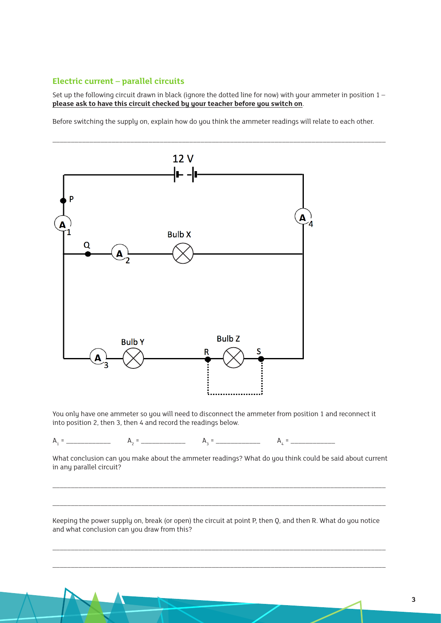### **Electric current – parallel circuits**

Set up the following circuit drawn in black (ignore the dotted line for now) with your ammeter in position 1 – **please ask to have this circuit checked by your teacher before you switch on**.

Before switching the supply on, explain how do you think the ammeter readings will relate to each other.



You only have one ammeter so you will need to disconnect the ammeter from position 1 and reconnect it into position 2, then 3, then 4 and record the readings below.

A1 = \_\_\_\_\_\_\_\_\_\_\_\_ A2 = \_\_\_\_\_\_\_\_\_\_\_\_ A3 = \_\_\_\_\_\_\_\_\_\_\_\_ A4 = \_\_\_\_\_\_\_\_\_\_\_\_

What conclusion can you make about the ammeter readings? What do you think could be said about current in any parallel circuit?

\_\_\_\_\_\_\_\_\_\_\_\_\_\_\_\_\_\_\_\_\_\_\_\_\_\_\_\_\_\_\_\_\_\_\_\_\_\_\_\_\_\_\_\_\_\_\_\_\_\_\_\_\_\_\_\_\_\_\_\_\_\_\_\_\_\_\_\_\_\_\_\_\_\_\_\_\_\_\_\_\_\_\_\_\_\_\_\_\_\_

\_\_\_\_\_\_\_\_\_\_\_\_\_\_\_\_\_\_\_\_\_\_\_\_\_\_\_\_\_\_\_\_\_\_\_\_\_\_\_\_\_\_\_\_\_\_\_\_\_\_\_\_\_\_\_\_\_\_\_\_\_\_\_\_\_\_\_\_\_\_\_\_\_\_\_\_\_\_\_\_\_\_\_\_\_\_\_\_\_\_

Keeping the power supply on, break (or open) the circuit at point P, then Q, and then R. What do you notice and what conclusion can you draw from this?

\_\_\_\_\_\_\_\_\_\_\_\_\_\_\_\_\_\_\_\_\_\_\_\_\_\_\_\_\_\_\_\_\_\_\_\_\_\_\_\_\_\_\_\_\_\_\_\_\_\_\_\_\_\_\_\_\_\_\_\_\_\_\_\_\_\_\_\_\_\_\_\_\_\_\_\_\_\_\_\_\_\_\_\_\_\_\_\_\_\_

\_\_\_\_\_\_\_\_\_\_\_\_\_\_\_\_\_\_\_\_\_\_\_\_\_\_\_\_\_\_\_\_\_\_\_\_\_\_\_\_\_\_\_\_\_\_\_\_\_\_\_\_\_\_\_\_\_\_\_\_\_\_\_\_\_\_\_\_\_\_\_\_\_\_\_\_\_\_\_\_\_\_\_\_\_\_\_\_\_\_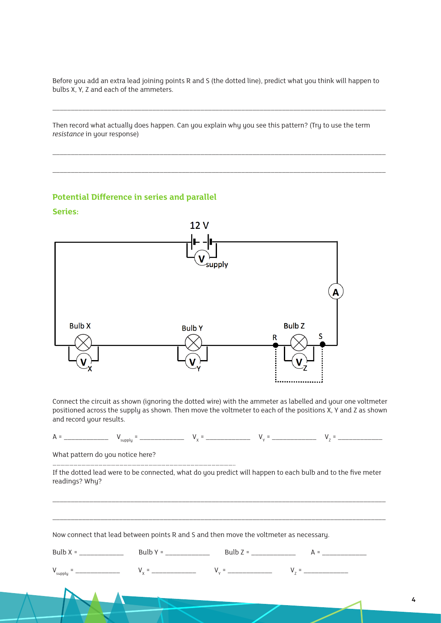Before you add an extra lead joining points R and S (the dotted line), predict what you think will happen to bulbs X, Y, Z and each of the ammeters.

\_\_\_\_\_\_\_\_\_\_\_\_\_\_\_\_\_\_\_\_\_\_\_\_\_\_\_\_\_\_\_\_\_\_\_\_\_\_\_\_\_\_\_\_\_\_\_\_\_\_\_\_\_\_\_\_\_\_\_\_\_\_\_\_\_\_\_\_\_\_\_\_\_\_\_\_\_\_\_\_\_\_\_\_\_\_\_\_\_\_

\_\_\_\_\_\_\_\_\_\_\_\_\_\_\_\_\_\_\_\_\_\_\_\_\_\_\_\_\_\_\_\_\_\_\_\_\_\_\_\_\_\_\_\_\_\_\_\_\_\_\_\_\_\_\_\_\_\_\_\_\_\_\_\_\_\_\_\_\_\_\_\_\_\_\_\_\_\_\_\_\_\_\_\_\_\_\_\_\_\_

\_\_\_\_\_\_\_\_\_\_\_\_\_\_\_\_\_\_\_\_\_\_\_\_\_\_\_\_\_\_\_\_\_\_\_\_\_\_\_\_\_\_\_\_\_\_\_\_\_\_\_\_\_\_\_\_\_\_\_\_\_\_\_\_\_\_\_\_\_\_\_\_\_\_\_\_\_\_\_\_\_\_\_\_\_\_\_\_\_\_

Then record what actually does happen. Can you explain why you see this pattern? (Try to use the term *resistance* in your response)

#### **Potential Difference in series and parallel**

#### **Series:**



Connect the circuit as shown (ignoring the dotted wire) with the ammeter as labelled and your one voltmeter positioned across the supply as shown. Then move the voltmeter to each of the positions X, Y and Z as shown and record your results.

| supplu | the control of the con- | . |  |  |  |
|--------|-------------------------|---|--|--|--|
|--------|-------------------------|---|--|--|--|

What pattern do you notice here?

…………………………………………………………………………………………………………………..

If the dotted lead were to be connected, what do you predict will happen to each bulb and to the five meter readings? Why?

\_\_\_\_\_\_\_\_\_\_\_\_\_\_\_\_\_\_\_\_\_\_\_\_\_\_\_\_\_\_\_\_\_\_\_\_\_\_\_\_\_\_\_\_\_\_\_\_\_\_\_\_\_\_\_\_\_\_\_\_\_\_\_\_\_\_\_\_\_\_\_\_\_\_\_\_\_\_\_\_\_\_\_\_\_\_\_\_\_\_

\_\_\_\_\_\_\_\_\_\_\_\_\_\_\_\_\_\_\_\_\_\_\_\_\_\_\_\_\_\_\_\_\_\_\_\_\_\_\_\_\_\_\_\_\_\_\_\_\_\_\_\_\_\_\_\_\_\_\_\_\_\_\_\_\_\_\_\_\_\_\_\_\_\_\_\_\_\_\_\_\_\_\_\_\_\_\_\_\_\_

Now connect that lead between points R and S and then move the voltmeter as necessary.

| $Rulh X =$                                | <b>Bulb Y</b><br>-                                                                                    |                                    | -                             |
|-------------------------------------------|-------------------------------------------------------------------------------------------------------|------------------------------------|-------------------------------|
| $\vee$<br>- - -<br>supply<br>____________ | $\overline{\phantom{a}}$<br>$\overline{\phantom{0}}$<br>$\overline{ }$<br>______________<br>$\lambda$ | -<br>V<br>$\overline{\phantom{a}}$ | -<br>$\overline{\phantom{0}}$ |
|                                           |                                                                                                       |                                    |                               |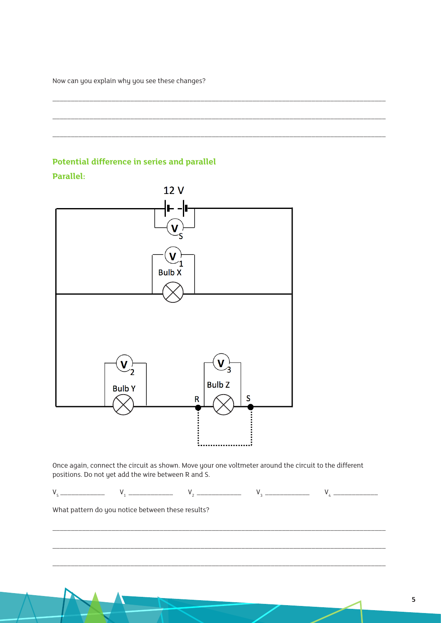Now can you explain why you see these changes?

# **Potential difference in series and parallel**



Once again, connect the circuit as shown. Move your one voltmeter around the circuit to the different positions. Do not yet add the wire between R and S.

\_\_\_\_\_\_\_\_\_\_\_\_\_\_\_\_\_\_\_\_\_\_\_\_\_\_\_\_\_\_\_\_\_\_\_\_\_\_\_\_\_\_\_\_\_\_\_\_\_\_\_\_\_\_\_\_\_\_\_\_\_\_\_\_\_\_\_\_\_\_\_\_\_\_\_\_\_\_\_\_\_\_\_\_\_\_\_\_\_\_

\_\_\_\_\_\_\_\_\_\_\_\_\_\_\_\_\_\_\_\_\_\_\_\_\_\_\_\_\_\_\_\_\_\_\_\_\_\_\_\_\_\_\_\_\_\_\_\_\_\_\_\_\_\_\_\_\_\_\_\_\_\_\_\_\_\_\_\_\_\_\_\_\_\_\_\_\_\_\_\_\_\_\_\_\_\_\_\_\_\_

\_\_\_\_\_\_\_\_\_\_\_\_\_\_\_\_\_\_\_\_\_\_\_\_\_\_\_\_\_\_\_\_\_\_\_\_\_\_\_\_\_\_\_\_\_\_\_\_\_\_\_\_\_\_\_\_\_\_\_\_\_\_\_\_\_\_\_\_\_\_\_\_\_\_\_\_\_\_\_\_\_\_\_\_\_\_\_\_\_\_

\_\_\_\_\_\_\_\_\_\_\_\_\_\_\_\_\_\_\_\_\_\_\_\_\_\_\_\_\_\_\_\_\_\_\_\_\_\_\_\_\_\_\_\_\_\_\_\_\_\_\_\_\_\_\_\_\_\_\_\_\_\_\_\_\_\_\_\_\_\_\_\_\_\_\_\_\_\_\_\_\_\_\_\_\_\_\_\_\_\_

\_\_\_\_\_\_\_\_\_\_\_\_\_\_\_\_\_\_\_\_\_\_\_\_\_\_\_\_\_\_\_\_\_\_\_\_\_\_\_\_\_\_\_\_\_\_\_\_\_\_\_\_\_\_\_\_\_\_\_\_\_\_\_\_\_\_\_\_\_\_\_\_\_\_\_\_\_\_\_\_\_\_\_\_\_\_\_\_\_\_

\_\_\_\_\_\_\_\_\_\_\_\_\_\_\_\_\_\_\_\_\_\_\_\_\_\_\_\_\_\_\_\_\_\_\_\_\_\_\_\_\_\_\_\_\_\_\_\_\_\_\_\_\_\_\_\_\_\_\_\_\_\_\_\_\_\_\_\_\_\_\_\_\_\_\_\_\_\_\_\_\_\_\_\_\_\_\_\_\_\_

 $V_{\rm s}$  \_\_\_\_\_\_\_\_\_\_\_\_\_\_\_  $V_{\rm 1}$  \_\_\_\_\_\_\_\_\_\_\_\_\_  $V_{\rm 2}$  \_\_\_\_\_\_\_\_\_\_\_\_\_  $V_{\rm 3}$  \_\_\_\_\_\_\_\_\_\_\_\_\_  $V_{\rm 4}$  \_\_\_\_\_\_\_\_\_\_\_

سر

What pattern do you notice between these results?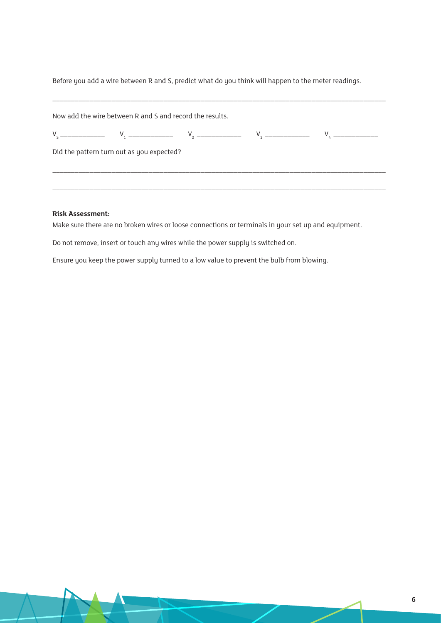Before you add a wire between R and S, predict what do you think will happen to the meter readings.

|                                           | Now add the wire between R and S and record the results.                                                                                                                                                                      |  |  |
|-------------------------------------------|-------------------------------------------------------------------------------------------------------------------------------------------------------------------------------------------------------------------------------|--|--|
|                                           | $V_1$ $V_2$ $V_3$ $V_4$ $V_5$ $V_6$ $V_7$ $V_8$ $V_9$ $V_9$ $V_9$ $V_9$ $V_9$ $V_9$ $V_9$ $V_9$ $V_9$ $V_9$ $V_9$ $V_9$ $V_9$ $V_9$ $V_9$ $V_9$ $V_9$ $V_9$ $V_9$ $V_9$ $V_9$ $V_9$ $V_9$ $V_9$ $V_9$ $V_9$ $V_9$ $V_9$ $V_9$ |  |  |
| Did the pattern turn out as you expected? |                                                                                                                                                                                                                               |  |  |
|                                           |                                                                                                                                                                                                                               |  |  |

#### **Risk Assessment:**

Make sure there are no broken wires or loose connections or terminals in your set up and equipment.

Do not remove, insert or touch any wires while the power supply is switched on.

Ensure you keep the power supply turned to a low value to prevent the bulb from blowing.

Z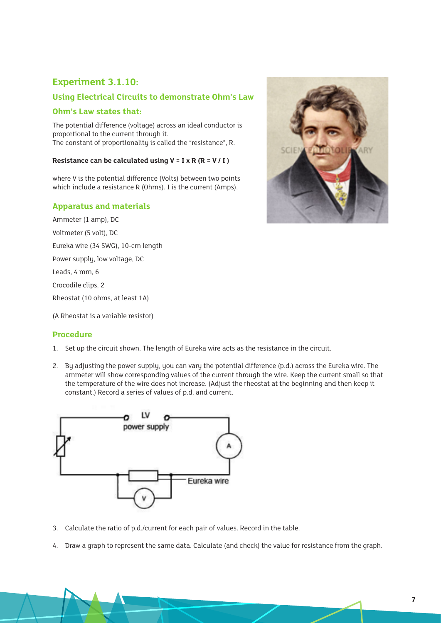# **Experiment 3.1.10:**

# **Using Electrical Circuits to demonstrate Ohm's Law**

### **Ohm's Law states that:**

The potential difference (voltage) across an ideal conductor is proportional to the current through it. The constant of proportionality is called the "resistance", R.

#### **Resistance can be calculated using V = I x R (R = V / I )**

where V is the potential difference (Volts) between two points which include a resistance R (Ohms). I is the current (Amps).

## **Apparatus and materials**

Ammeter (1 amp), DC Voltmeter (5 volt), DC Eureka wire (34 SWG), 10-cm length Power supply, low voltage, DC Leads, 4 mm, 6 Crocodile clips, 2 Rheostat (10 ohms, at least 1A)

(A Rheostat is a variable resistor)

#### **Procedure**

- 1. Set up the circuit shown. The length of Eureka wire acts as the resistance in the circuit.
- 2. By adjusting the power supply, you can vary the potential difference (p.d.) across the Eureka wire. The ammeter will show corresponding values of the current through the wire. Keep the current small so that the temperature of the wire does not increase. (Adjust the rheostat at the beginning and then keep it constant.) Record a series of values of p.d. and current.



- 3. Calculate the ratio of p.d./current for each pair of values. Record in the table.
- 4. Draw a graph to represent the same data. Calculate (and check) the value for resistance from the graph.

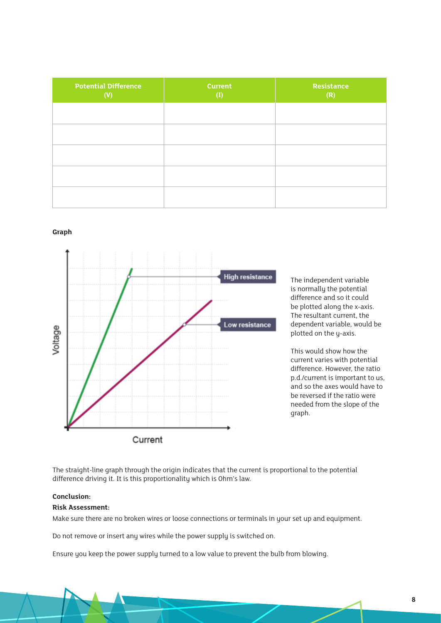| <b>Potential Difference</b><br>(V) | <b>Current</b><br>(1) | Resistance<br>(R) |
|------------------------------------|-----------------------|-------------------|
|                                    |                       |                   |
|                                    |                       |                   |
|                                    |                       |                   |
|                                    |                       |                   |
|                                    |                       |                   |

#### **Graph**



The independent variable is normally the potential difference and so it could be plotted along the x-axis. The resultant current, the dependent variable, would be plotted on the y-axis.

This would show how the current varies with potential difference. However, the ratio p.d./current is important to us, and so the axes would have to be reversed if the ratio were needed from the slope of the graph.

The straight-line graph through the origin indicates that the current is proportional to the potential difference driving it. It is this proportionality which is Ohm's law.

#### **Conclusion:**

#### **Risk Assessment:**

Make sure there are no broken wires or loose connections or terminals in your set up and equipment.

Do not remove or insert any wires while the power supply is switched on.

Ensure you keep the power supply turned to a low value to prevent the bulb from blowing.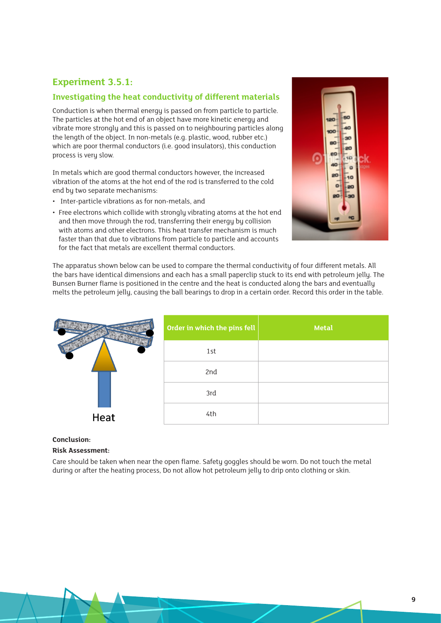# **Experiment 3.5.1:**

# **Investigating the heat conductivity of different materials**

Conduction is when thermal energy is passed on from particle to particle. The particles at the hot end of an object have more kinetic energy and vibrate more strongly and this is passed on to neighbouring particles along the length of the object. In non-metals (e.g. plastic, wood, rubber etc.) which are poor thermal conductors (i.e. good insulators), this conduction process is very slow.

In metals which are good thermal conductors however, the increased vibration of the atoms at the hot end of the rod is transferred to the cold end by two separate mechanisms:

- Inter-particle vibrations as for non-metals, and
- Free electrons which collide with strongly vibrating atoms at the hot end and then move through the rod, transferring their energy by collision with atoms and other electrons. This heat transfer mechanism is much faster than that due to vibrations from particle to particle and accounts for the fact that metals are excellent thermal conductors.



The apparatus shown below can be used to compare the thermal conductivity of four different metals. All the bars have identical dimensions and each has a small paperclip stuck to its end with petroleum jelly. The Bunsen Burner flame is positioned in the centre and the heat is conducted along the bars and eventually melts the petroleum jelly, causing the ball bearings to drop in a certain order. Record this order in the table.

|      | Order in which the pins fell | <b>Metal</b> |
|------|------------------------------|--------------|
|      | 1st                          |              |
|      | 2nd                          |              |
|      | 3rd                          |              |
| Heat | 4th                          |              |

#### **Conclusion:**

#### **Risk Assessment:**

Care should be taken when near the open flame. Safety goggles should be worn. Do not touch the metal during or after the heating process, Do not allow hot petroleum jelly to drip onto clothing or skin.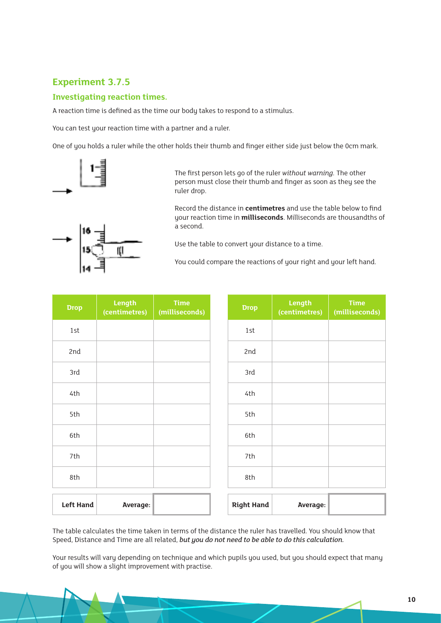# **Experiment 3.7.5**

# **Investigating reaction times.**

A reaction time is defined as the time our body takes to respond to a stimulus.

You can test your reaction time with a partner and a ruler.

One of you holds a ruler while the other holds their thumb and finger either side just below the 0cm mark.



The first person lets go of the ruler *without warning.* The other person must close their thumb and finger as soon as they see the ruler drop.

Record the distance in **centimetres** and use the table below to find your reaction time in **milliseconds**. Milliseconds are thousandths of a second.



Use the table to convert your distance to a time.

You could compare the reactions of your right and your left hand.

| <b>Drop</b>      | Length<br>(centimetres) | <b>Time</b><br>(milliseconds) | <b>Drop</b>       | Length<br>(centimetres) | <b>Time</b><br>(milliseconds) |
|------------------|-------------------------|-------------------------------|-------------------|-------------------------|-------------------------------|
| 1st              |                         |                               | 1st               |                         |                               |
| 2nd              |                         |                               | 2nd               |                         |                               |
| 3rd              |                         |                               | 3rd               |                         |                               |
| 4th              |                         |                               | 4th               |                         |                               |
| 5th              |                         |                               | 5th               |                         |                               |
| 6th              |                         |                               | 6th               |                         |                               |
| 7th              |                         |                               | 7th               |                         |                               |
| 8th              |                         |                               | 8th               |                         |                               |
| <b>Left Hand</b> | Average:                |                               | <b>Right Hand</b> | Average:                |                               |

The table calculates the time taken in terms of the distance the ruler has travelled. You should know that Speed, Distance and Time are all related, *but you do not need to be able to do this calculation.*

Your results will vary depending on technique and which pupils you used, but you should expect that many of you will show a slight improvement with practise.